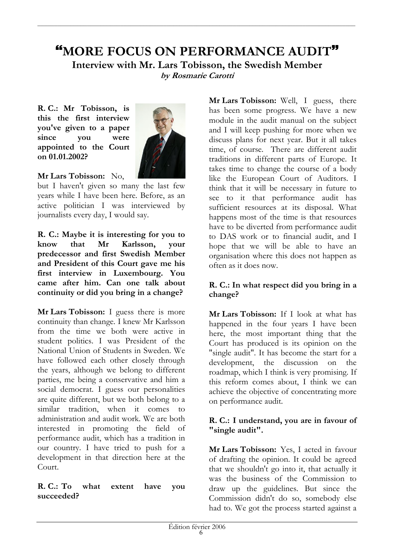# "MORE FOCUS ON PERFORMANCE AUDIT" Interview with Mr. Lars Tobisson, the Swedish Member by Rosmarie Carotti

R.C.: Mr Tobisson, is this the first interview vou've given to a paper since you were appointed to the Court on 01.01.2002?



Mr Lars Tobisson: No.

but I haven't given so many the last few years while I have been here. Before, as an active politician I was interviewed by journalists every day, I would say.

R. C.: Maybe it is interesting for you to  $k<sub>now</sub>$ that  $Mr$ Karlsson. vour predecessor and first Swedish Member and President of this Court gave me his first interview in Luxembourg. You came after him. Can one talk about continuity or did you bring in a change?

Mr Lars Tobisson: I guess there is more continuity than change. I knew Mr Karlsson from the time we both were active in student politics. I was President of the National Union of Students in Sweden. We have followed each other closely through the years, although we belong to different parties, me being a conservative and him a social democrat. I guess our personalities are quite different, but we both belong to a similar tradition, when it comes administration and audit work. We are both interested in promoting the field of performance audit, which has a tradition in our country. I have tried to push for a development in that direction here at the Court.

#### $R. C.: To$ what extent have you succeeded?

Mr Lars Tobisson: Well, I guess, there has been some progress. We have a new module in the audit manual on the subject and I will keep pushing for more when we discuss plans for next year. But it all takes time, of course. There are different audit traditions in different parts of Europe. It takes time to change the course of a body like the European Court of Auditors. I think that it will be necessary in future to see to it that performance audit has sufficient resources at its disposal. What happens most of the time is that resources have to be diverted from performance audit to DAS work or to financial audit, and I hope that we will be able to have an organisation where this does not happen as often as it does now.

### R. C.: In what respect did you bring in a change?

Mr Lars Tobisson: If I look at what has happened in the four years I have been here, the most important thing that the Court has produced is its opinion on the "single audit". It has become the start for a development, the discussion on the roadmap, which I think is very promising. If this reform comes about, I think we can achieve the objective of concentrating more on performance audit.

### R. C.: I understand, you are in favour of "single audit".

Mr Lars Tobisson: Yes, I acted in favour of drafting the opinion. It could be agreed that we shouldn't go into it, that actually it was the business of the Commission to draw up the guidelines. But since the Commission didn't do so, somebody else had to. We got the process started against a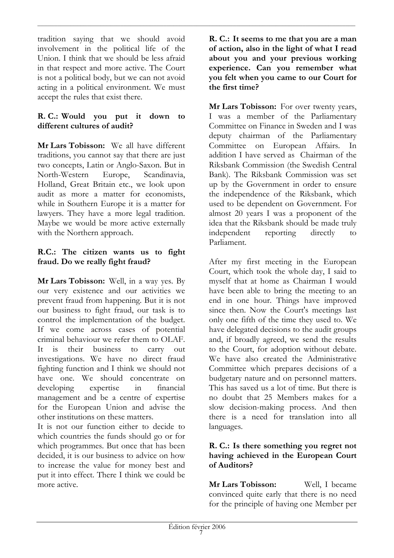tradition saying that we should avoid involvement in the political life of the Union. I think that we should be less afraid in that respect and more active. The Court is not a political body, but we can not avoid acting in a political environment. We must accept the rules that exist there.

### R. C.: Would you put it down  $\mathbf{to}$ different cultures of audit?

Mr Lars Tobisson: We all have different traditions, you cannot say that there are just two concepts, Latin or Anglo-Saxon. But in North-Western Europe, Scandinavia, Holland, Great Britain etc., we look upon audit as more a matter for economists. while in Southern Europe it is a matter for lawyers. They have a more legal tradition. Maybe we would be more active externally with the Northern approach.

### R.C.: The citizen wants us to fight fraud. Do we really fight fraud?

Mr Lars Tobisson: Well, in a way yes. By our very existence and our activities we prevent fraud from happening. But it is not our business to fight fraud, our task is to control the implementation of the budget. If we come across cases of potential criminal behaviour we refer them to OLAF.  $\frac{1}{1S}$ their business It to carry out investigations. We have no direct fraud fighting function and I think we should not have one. We should concentrate on developing expertise  $in$ financial management and be a centre of expertise for the European Union and advise the other institutions on these matters.

It is not our function either to decide to which countries the funds should go or for which programmes. But once that has been decided, it is our business to advice on how to increase the value for money best and put it into effect. There I think we could be more active.

R. C.: It seems to me that you are a man of action, also in the light of what I read about you and your previous working experience. Can you remember what you felt when you came to our Court for the first time?

Mr Lars Tobisson: For over twenty years, I was a member of the Parliamentary Committee on Finance in Sweden and I was deputy chairman of the Parliamentary Committee on European Affairs.  $In$ addition I have served as Chairman of the Riksbank Commission (the Swedish Central Bank). The Riksbank Commission was set up by the Government in order to ensure the independence of the Riksbank, which used to be dependent on Government. For almost 20 years I was a proponent of the idea that the Riksbank should be made truly independent reporting directly  $\overline{f}$ Parliament.

After my first meeting in the European Court, which took the whole day, I said to myself that at home as Chairman I would have been able to bring the meeting to an end in one hour. Things have improved since then. Now the Court's meetings last only one fifth of the time they used to. We have delegated decisions to the audit groups and, if broadly agreed, we send the results to the Court, for adoption without debate. We have also created the Administrative Committee which prepares decisions of a budgetary nature and on personnel matters. This has saved us a lot of time. But there is no doubt that 25 Members makes for a slow decision-making process. And then there is a need for translation into all languages.

### R. C.: Is there something you regret not having achieved in the European Court of Auditors?

**Mr Lars Tobisson:** Well, I became convinced quite early that there is no need for the principle of having one Member per